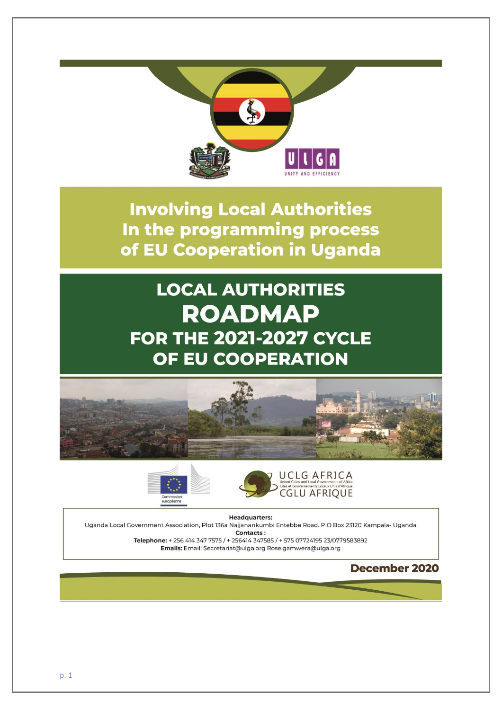

**Involving Local Authorities** In the programming process of EU Cooperation in Uganda

# **LOCAL AUTHORITIES ROADMAP FOR THE 2021-2027 CYCLE** OF EU COOPERATION







**Headquarters:** 

Uganda Local Government Association, Plot 136a Najjanankumbi Entebbe Road. P O Box 23120 Kampala- Uganda Contacts:

Telephone: + 256 414 347 7575 / + 256414 347585 / + 575 07724195 23/0779583892 Emails: Email: Secretariat@ulga.org Rose.gamwera@ulga.org

# **December 2020**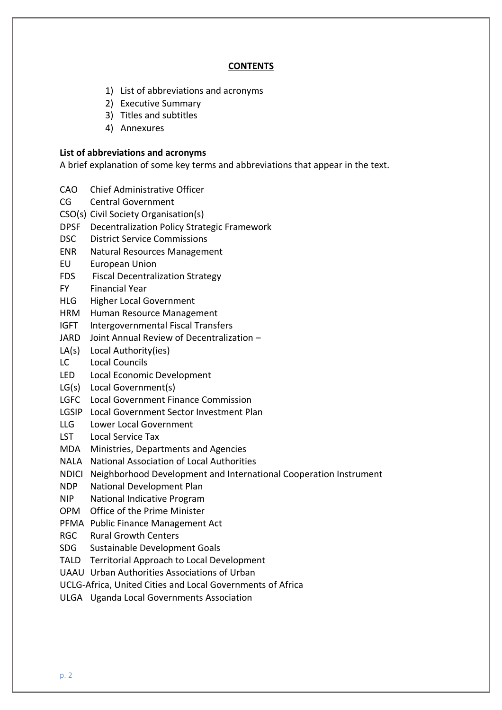#### **CONTENTS**

- 1) List of abbreviations and acronyms
- 2) Executive Summary
- 3) Titles and subtitles
- 4) Annexures

#### **List of abbreviations and acronyms**

A brief explanation of some key terms and abbreviations that appear in the text.

- CAO Chief Administrative Officer
- CG Central Government
- CSO(s) Civil Society Organisation(s)
- DPSF Decentralization Policy Strategic Framework
- DSC District Service Commissions
- ENR Natural Resources Management
- EU European Union
- FDS Fiscal Decentralization Strategy
- FY Financial Year
- HLG Higher Local Government
- HRM Human Resource Management
- IGFT Intergovernmental Fiscal Transfers
- JARD Joint Annual Review of Decentralization –
- LA(s) Local Authority(ies)
- LC Local Councils
- LED Local Economic Development
- LG(s) Local Government(s)
- LGFC Local Government Finance Commission
- LGSIP Local Government Sector Investment Plan
- LLG Lower Local Government
- LST Local Service Tax
- MDA Ministries, Departments and Agencies
- NALA National Association of Local Authorities
- NDICI Neighborhood Development and International Cooperation Instrument
- NDP National Development Plan
- NIP National Indicative Program
- OPM Office of the Prime Minister
- PFMA Public Finance Management Act
- RGC Rural Growth Centers
- SDG Sustainable Development Goals
- TALD Territorial Approach to Local Development
- UAAU Urban Authorities Associations of Urban
- UCLG-Africa, United Cities and Local Governments of Africa
- ULGA Uganda Local Governments Association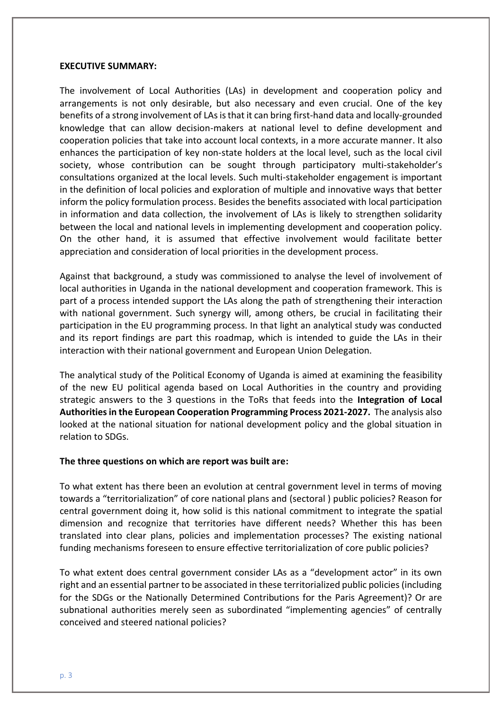#### **EXECUTIVE SUMMARY:**

The involvement of Local Authorities (LAs) in development and cooperation policy and arrangements is not only desirable, but also necessary and even crucial. One of the key benefits of a strong involvement of LAs is that it can bring first-hand data and locally-grounded knowledge that can allow decision-makers at national level to define development and cooperation policies that take into account local contexts, in a more accurate manner. It also enhances the participation of key non-state holders at the local level, such as the local civil society, whose contribution can be sought through participatory multi-stakeholder's consultations organized at the local levels. Such multi-stakeholder engagement is important in the definition of local policies and exploration of multiple and innovative ways that better inform the policy formulation process. Besides the benefits associated with local participation in information and data collection, the involvement of LAs is likely to strengthen solidarity between the local and national levels in implementing development and cooperation policy. On the other hand, it is assumed that effective involvement would facilitate better appreciation and consideration of local priorities in the development process.

Against that background, a study was commissioned to analyse the level of involvement of local authorities in Uganda in the national development and cooperation framework. This is part of a process intended support the LAs along the path of strengthening their interaction with national government. Such synergy will, among others, be crucial in facilitating their participation in the EU programming process. In that light an analytical study was conducted and its report findings are part this roadmap, which is intended to guide the LAs in their interaction with their national government and European Union Delegation.

The analytical study of the Political Economy of Uganda is aimed at examining the feasibility of the new EU political agenda based on Local Authorities in the country and providing strategic answers to the 3 questions in the ToRs that feeds into the **Integration of Local Authorities in the European Cooperation Programming Process 2021-2027.** The analysis also looked at the national situation for national development policy and the global situation in relation to SDGs.

#### **The three questions on which are report was built are:**

To what extent has there been an evolution at central government level in terms of moving towards a "territorialization" of core national plans and (sectoral ) public policies? Reason for central government doing it, how solid is this national commitment to integrate the spatial dimension and recognize that territories have different needs? Whether this has been translated into clear plans, policies and implementation processes? The existing national funding mechanisms foreseen to ensure effective territorialization of core public policies?

To what extent does central government consider LAs as a "development actor" in its own right and an essential partner to be associated in these territorialized public policies (including for the SDGs or the Nationally Determined Contributions for the Paris Agreement)? Or are subnational authorities merely seen as subordinated "implementing agencies" of centrally conceived and steered national policies?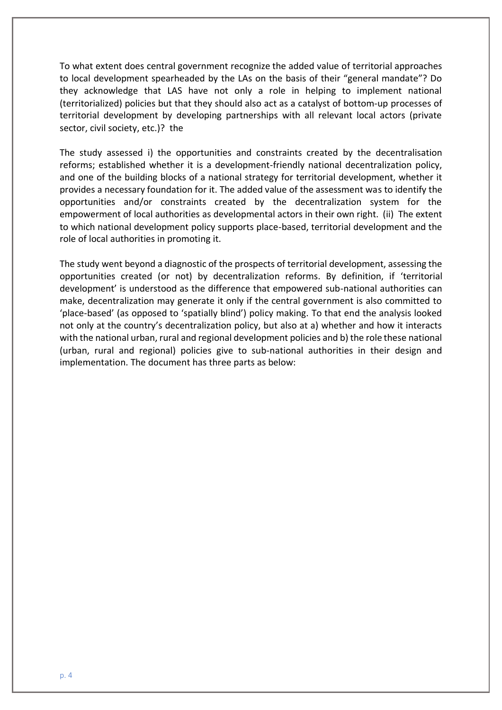To what extent does central government recognize the added value of territorial approaches to local development spearheaded by the LAs on the basis of their "general mandate"? Do they acknowledge that LAS have not only a role in helping to implement national (territorialized) policies but that they should also act as a catalyst of bottom-up processes of territorial development by developing partnerships with all relevant local actors (private sector, civil society, etc.)? the

The study assessed i) the opportunities and constraints created by the decentralisation reforms; established whether it is a development-friendly national decentralization policy, and one of the building blocks of a national strategy for territorial development, whether it provides a necessary foundation for it. The added value of the assessment was to identify the opportunities and/or constraints created by the decentralization system for the empowerment of local authorities as developmental actors in their own right. (ii) The extent to which national development policy supports place-based, territorial development and the role of local authorities in promoting it.

The study went beyond a diagnostic of the prospects of territorial development, assessing the opportunities created (or not) by decentralization reforms. By definition, if 'territorial development' is understood as the difference that empowered sub-national authorities can make, decentralization may generate it only if the central government is also committed to 'place-based' (as opposed to 'spatially blind') policy making. To that end the analysis looked not only at the country's decentralization policy, but also at a) whether and how it interacts with the national urban, rural and regional development policies and b) the role these national (urban, rural and regional) policies give to sub-national authorities in their design and implementation. The document has three parts as below: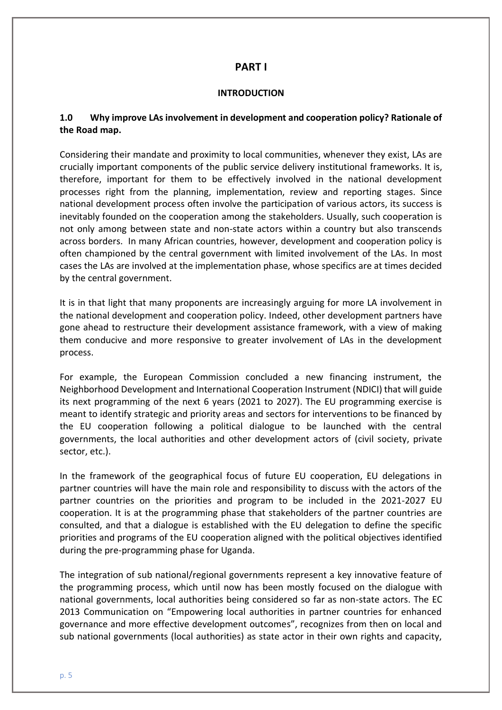# **PART I**

#### **INTRODUCTION**

# **1.0 Why improve LAs involvement in development and cooperation policy? Rationale of the Road map.**

Considering their mandate and proximity to local communities, whenever they exist, LAs are crucially important components of the public service delivery institutional frameworks. It is, therefore, important for them to be effectively involved in the national development processes right from the planning, implementation, review and reporting stages. Since national development process often involve the participation of various actors, its success is inevitably founded on the cooperation among the stakeholders. Usually, such cooperation is not only among between state and non-state actors within a country but also transcends across borders. In many African countries, however, development and cooperation policy is often championed by the central government with limited involvement of the LAs. In most cases the LAs are involved at the implementation phase, whose specifics are at times decided by the central government.

It is in that light that many proponents are increasingly arguing for more LA involvement in the national development and cooperation policy. Indeed, other development partners have gone ahead to restructure their development assistance framework, with a view of making them conducive and more responsive to greater involvement of LAs in the development process.

For example, the European Commission concluded a new financing instrument, the Neighborhood Development and International Cooperation Instrument (NDICI) that will guide its next programming of the next 6 years (2021 to 2027). The EU programming exercise is meant to identify strategic and priority areas and sectors for interventions to be financed by the EU cooperation following a political dialogue to be launched with the central governments, the local authorities and other development actors of (civil society, private sector, etc.).

In the framework of the geographical focus of future EU cooperation, EU delegations in partner countries will have the main role and responsibility to discuss with the actors of the partner countries on the priorities and program to be included in the 2021-2027 EU cooperation. It is at the programming phase that stakeholders of the partner countries are consulted, and that a dialogue is established with the EU delegation to define the specific priorities and programs of the EU cooperation aligned with the political objectives identified during the pre-programming phase for Uganda.

The integration of sub national/regional governments represent a key innovative feature of the programming process, which until now has been mostly focused on the dialogue with national governments, local authorities being considered so far as non-state actors. The EC 2013 Communication on "Empowering local authorities in partner countries for enhanced governance and more effective development outcomes", recognizes from then on local and sub national governments (local authorities) as state actor in their own rights and capacity,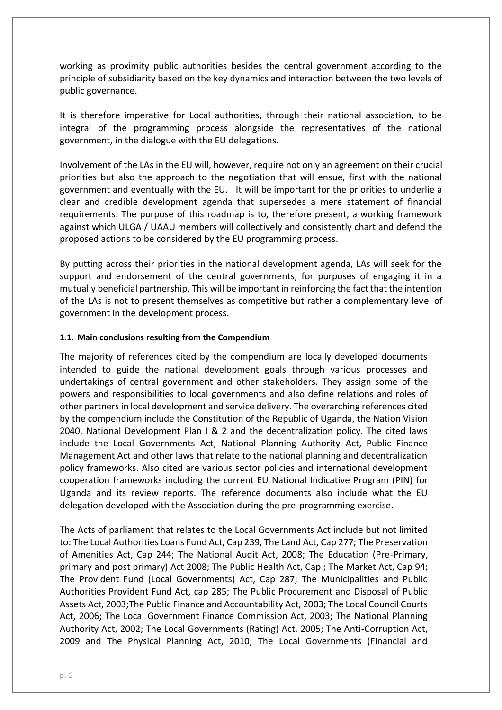working as proximity public authorities besides the central government according to the principle of subsidiarity based on the key dynamics and interaction between the two levels of public governance.

It is therefore imperative for Local authorities, through their national association, to be integral of the programming process alongside the representatives of the national government, in the dialogue with the EU delegations.

Involvement of the LAs in the EU will, however, require not only an agreement on their crucial priorities but also the approach to the negotiation that will ensue, first with the national government and eventually with the EU. It will be important for the priorities to underlie a clear and credible development agenda that supersedes a mere statement of financial requirements. The purpose of this roadmap is to, therefore present, a working framework against which ULGA / UAAU members will collectively and consistently chart and defend the proposed actions to be considered by the EU programming process.

By putting across their priorities in the national development agenda, LAs will seek for the support and endorsement of the central governments, for purposes of engaging it in a mutually beneficial partnership. This will be important in reinforcing the fact that the intention of the LAs is not to present themselves as competitive but rather a complementary level of government in the development process.

#### **1.1. Main conclusions resulting from the Compendium**

The majority of references cited by the compendium are locally developed documents intended to guide the national development goals through various processes and undertakings of central government and other stakeholders. They assign some of the powers and responsibilities to local governments and also define relations and roles of other partners in local development and service delivery. The overarching references cited by the compendium include the Constitution of the Republic of Uganda, the Nation Vision 2040, National Development Plan I & 2 and the decentralization policy. The cited laws include the Local Governments Act, National Planning Authority Act, Public Finance Management Act and other laws that relate to the national planning and decentralization policy frameworks. Also cited are various sector policies and international development cooperation frameworks including the current EU National Indicative Program (PIN) for Uganda and its review reports. The reference documents also include what the EU delegation developed with the Association during the pre-programming exercise.

The Acts of parliament that relates to the Local Governments Act include but not limited to: The Local Authorities Loans Fund Act, Cap 239, The Land Act, Cap 277; The Preservation of Amenities Act, Cap 244; The National Audit Act, 2008; The Education (Pre-Primary, primary and post primary) Act 2008; The Public Health Act, Cap ; The Market Act, Cap 94; The Provident Fund (Local Governments) Act, Cap 287; The Municipalities and Public Authorities Provident Fund Act, cap 285; The Public Procurement and Disposal of Public Assets Act, 2003;The Public Finance and Accountability Act, 2003; The Local Council Courts Act, 2006; The Local Government Finance Commission Act, 2003; The National Planning Authority Act, 2002; The Local Governments (Rating) Act, 2005; The Anti-Corruption Act, 2009 and The Physical Planning Act, 2010; The Local Governments (Financial and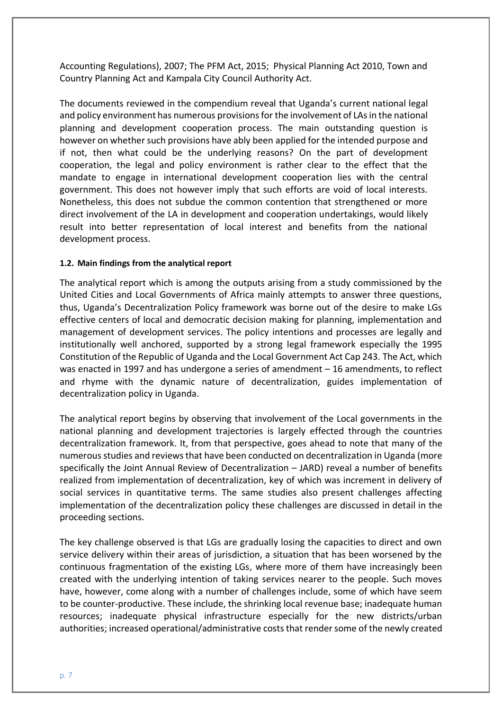Accounting Regulations), 2007; The PFM Act, 2015; Physical Planning Act 2010, Town and Country Planning Act and Kampala City Council Authority Act.

The documents reviewed in the compendium reveal that Uganda's current national legal and policy environment has numerous provisions for the involvement of LAs in the national planning and development cooperation process. The main outstanding question is however on whether such provisions have ably been applied for the intended purpose and if not, then what could be the underlying reasons? On the part of development cooperation, the legal and policy environment is rather clear to the effect that the mandate to engage in international development cooperation lies with the central government. This does not however imply that such efforts are void of local interests. Nonetheless, this does not subdue the common contention that strengthened or more direct involvement of the LA in development and cooperation undertakings, would likely result into better representation of local interest and benefits from the national development process.

#### **1.2. Main findings from the analytical report**

The analytical report which is among the outputs arising from a study commissioned by the United Cities and Local Governments of Africa mainly attempts to answer three questions, thus, Uganda's Decentralization Policy framework was borne out of the desire to make LGs effective centers of local and democratic decision making for planning, implementation and management of development services. The policy intentions and processes are legally and institutionally well anchored, supported by a strong legal framework especially the 1995 Constitution of the Republic of Uganda and the Local Government Act Cap 243. The Act, which was enacted in 1997 and has undergone a series of amendment – 16 amendments, to reflect and rhyme with the dynamic nature of decentralization, guides implementation of decentralization policy in Uganda.

The analytical report begins by observing that involvement of the Local governments in the national planning and development trajectories is largely effected through the countries decentralization framework. It, from that perspective, goes ahead to note that many of the numerous studies and reviews that have been conducted on decentralization in Uganda (more specifically the Joint Annual Review of Decentralization – JARD) reveal a number of benefits realized from implementation of decentralization, key of which was increment in delivery of social services in quantitative terms. The same studies also present challenges affecting implementation of the decentralization policy these challenges are discussed in detail in the proceeding sections.

The key challenge observed is that LGs are gradually losing the capacities to direct and own service delivery within their areas of jurisdiction, a situation that has been worsened by the continuous fragmentation of the existing LGs, where more of them have increasingly been created with the underlying intention of taking services nearer to the people. Such moves have, however, come along with a number of challenges include, some of which have seem to be counter-productive. These include, the shrinking local revenue base; inadequate human resources; inadequate physical infrastructure especially for the new districts/urban authorities; increased operational/administrative costs that render some of the newly created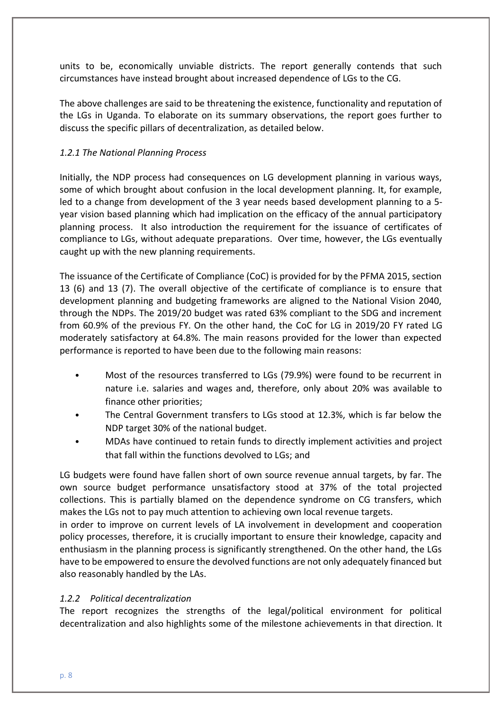units to be, economically unviable districts. The report generally contends that such circumstances have instead brought about increased dependence of LGs to the CG.

The above challenges are said to be threatening the existence, functionality and reputation of the LGs in Uganda. To elaborate on its summary observations, the report goes further to discuss the specific pillars of decentralization, as detailed below.

# *1.2.1 The National Planning Process*

Initially, the NDP process had consequences on LG development planning in various ways, some of which brought about confusion in the local development planning. It, for example, led to a change from development of the 3 year needs based development planning to a 5 year vision based planning which had implication on the efficacy of the annual participatory planning process. It also introduction the requirement for the issuance of certificates of compliance to LGs, without adequate preparations. Over time, however, the LGs eventually caught up with the new planning requirements.

The issuance of the Certificate of Compliance (CoC) is provided for by the PFMA 2015, section 13 (6) and 13 (7). The overall objective of the certificate of compliance is to ensure that development planning and budgeting frameworks are aligned to the National Vision 2040, through the NDPs. The 2019/20 budget was rated 63% compliant to the SDG and increment from 60.9% of the previous FY. On the other hand, the CoC for LG in 2019/20 FY rated LG moderately satisfactory at 64.8%. The main reasons provided for the lower than expected performance is reported to have been due to the following main reasons:

- Most of the resources transferred to LGs (79.9%) were found to be recurrent in nature i.e. salaries and wages and, therefore, only about 20% was available to finance other priorities;
- The Central Government transfers to LGs stood at 12.3%, which is far below the NDP target 30% of the national budget.
- MDAs have continued to retain funds to directly implement activities and project that fall within the functions devolved to LGs; and

LG budgets were found have fallen short of own source revenue annual targets, by far. The own source budget performance unsatisfactory stood at 37% of the total projected collections. This is partially blamed on the dependence syndrome on CG transfers, which makes the LGs not to pay much attention to achieving own local revenue targets.

in order to improve on current levels of LA involvement in development and cooperation policy processes, therefore, it is crucially important to ensure their knowledge, capacity and enthusiasm in the planning process is significantly strengthened. On the other hand, the LGs have to be empowered to ensure the devolved functions are not only adequately financed but also reasonably handled by the LAs.

# *1.2.2 Political decentralization*

The report recognizes the strengths of the legal/political environment for political decentralization and also highlights some of the milestone achievements in that direction. It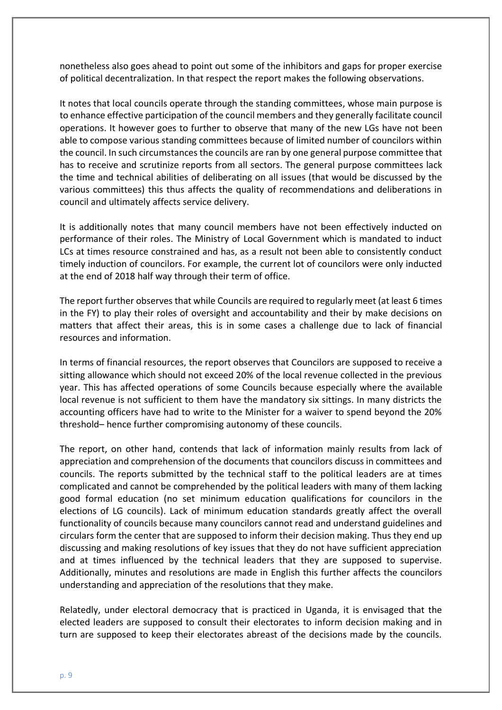nonetheless also goes ahead to point out some of the inhibitors and gaps for proper exercise of political decentralization. In that respect the report makes the following observations.

It notes that local councils operate through the standing committees, whose main purpose is to enhance effective participation of the council members and they generally facilitate council operations. It however goes to further to observe that many of the new LGs have not been able to compose various standing committees because of limited number of councilors within the council. In such circumstances the councils are ran by one general purpose committee that has to receive and scrutinize reports from all sectors. The general purpose committees lack the time and technical abilities of deliberating on all issues (that would be discussed by the various committees) this thus affects the quality of recommendations and deliberations in council and ultimately affects service delivery.

It is additionally notes that many council members have not been effectively inducted on performance of their roles. The Ministry of Local Government which is mandated to induct LCs at times resource constrained and has, as a result not been able to consistently conduct timely induction of councilors. For example, the current lot of councilors were only inducted at the end of 2018 half way through their term of office.

The report further observes that while Councils are required to regularly meet (at least 6 times in the FY) to play their roles of oversight and accountability and their by make decisions on matters that affect their areas, this is in some cases a challenge due to lack of financial resources and information.

In terms of financial resources, the report observes that Councilors are supposed to receive a sitting allowance which should not exceed 20% of the local revenue collected in the previous year. This has affected operations of some Councils because especially where the available local revenue is not sufficient to them have the mandatory six sittings. In many districts the accounting officers have had to write to the Minister for a waiver to spend beyond the 20% threshold– hence further compromising autonomy of these councils.

The report, on other hand, contends that lack of information mainly results from lack of appreciation and comprehension of the documents that councilors discuss in committees and councils. The reports submitted by the technical staff to the political leaders are at times complicated and cannot be comprehended by the political leaders with many of them lacking good formal education (no set minimum education qualifications for councilors in the elections of LG councils). Lack of minimum education standards greatly affect the overall functionality of councils because many councilors cannot read and understand guidelines and circulars form the center that are supposed to inform their decision making. Thus they end up discussing and making resolutions of key issues that they do not have sufficient appreciation and at times influenced by the technical leaders that they are supposed to supervise. Additionally, minutes and resolutions are made in English this further affects the councilors understanding and appreciation of the resolutions that they make.

Relatedly, under electoral democracy that is practiced in Uganda, it is envisaged that the elected leaders are supposed to consult their electorates to inform decision making and in turn are supposed to keep their electorates abreast of the decisions made by the councils.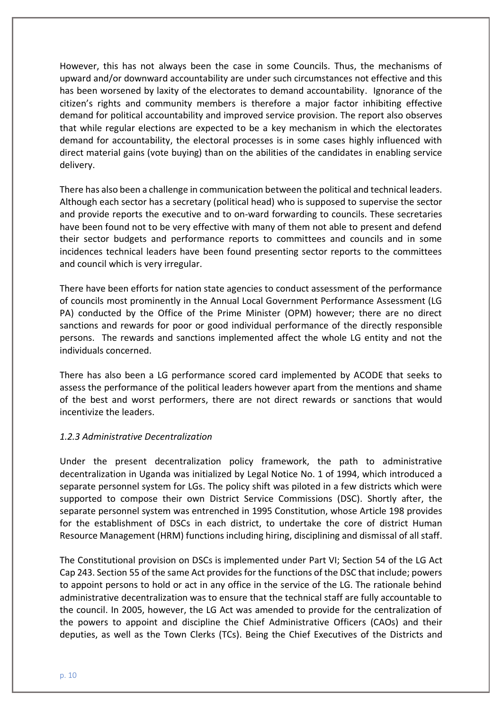However, this has not always been the case in some Councils. Thus, the mechanisms of upward and/or downward accountability are under such circumstances not effective and this has been worsened by laxity of the electorates to demand accountability. Ignorance of the citizen's rights and community members is therefore a major factor inhibiting effective demand for political accountability and improved service provision. The report also observes that while regular elections are expected to be a key mechanism in which the electorates demand for accountability, the electoral processes is in some cases highly influenced with direct material gains (vote buying) than on the abilities of the candidates in enabling service delivery.

There has also been a challenge in communication between the political and technical leaders. Although each sector has a secretary (political head) who is supposed to supervise the sector and provide reports the executive and to on-ward forwarding to councils. These secretaries have been found not to be very effective with many of them not able to present and defend their sector budgets and performance reports to committees and councils and in some incidences technical leaders have been found presenting sector reports to the committees and council which is very irregular.

There have been efforts for nation state agencies to conduct assessment of the performance of councils most prominently in the Annual Local Government Performance Assessment (LG PA) conducted by the Office of the Prime Minister (OPM) however; there are no direct sanctions and rewards for poor or good individual performance of the directly responsible persons. The rewards and sanctions implemented affect the whole LG entity and not the individuals concerned.

There has also been a LG performance scored card implemented by ACODE that seeks to assess the performance of the political leaders however apart from the mentions and shame of the best and worst performers, there are not direct rewards or sanctions that would incentivize the leaders.

#### *1.2.3 Administrative Decentralization*

Under the present decentralization policy framework, the path to administrative decentralization in Uganda was initialized by Legal Notice No. 1 of 1994, which introduced a separate personnel system for LGs. The policy shift was piloted in a few districts which were supported to compose their own District Service Commissions (DSC). Shortly after, the separate personnel system was entrenched in 1995 Constitution, whose Article 198 provides for the establishment of DSCs in each district, to undertake the core of district Human Resource Management (HRM) functions including hiring, disciplining and dismissal of all staff.

The Constitutional provision on DSCs is implemented under Part VI; Section 54 of the LG Act Cap 243. Section 55 of the same Act provides for the functions of the DSC that include; powers to appoint persons to hold or act in any office in the service of the LG. The rationale behind administrative decentralization was to ensure that the technical staff are fully accountable to the council. In 2005, however, the LG Act was amended to provide for the centralization of the powers to appoint and discipline the Chief Administrative Officers (CAOs) and their deputies, as well as the Town Clerks (TCs). Being the Chief Executives of the Districts and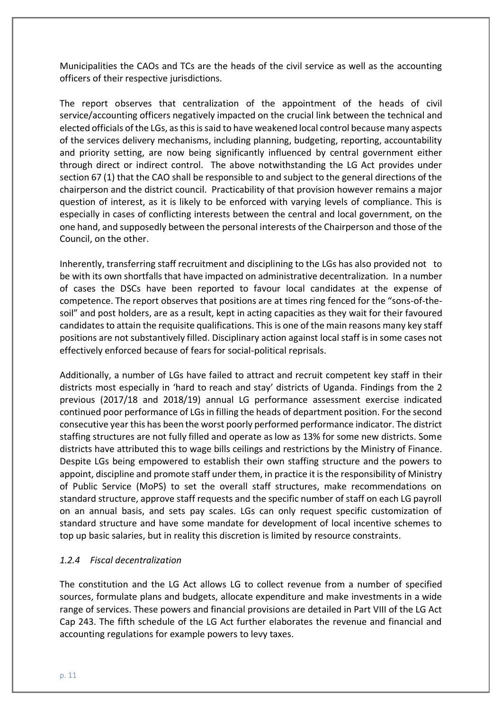Municipalities the CAOs and TCs are the heads of the civil service as well as the accounting officers of their respective jurisdictions.

The report observes that centralization of the appointment of the heads of civil service/accounting officers negatively impacted on the crucial link between the technical and elected officials of the LGs, as this is said to have weakened local control because many aspects of the services delivery mechanisms, including planning, budgeting, reporting, accountability and priority setting, are now being significantly influenced by central government either through direct or indirect control. The above notwithstanding the LG Act provides under section 67 (1) that the CAO shall be responsible to and subject to the general directions of the chairperson and the district council. Practicability of that provision however remains a major question of interest, as it is likely to be enforced with varying levels of compliance. This is especially in cases of conflicting interests between the central and local government, on the one hand, and supposedly between the personal interests of the Chairperson and those of the Council, on the other.

Inherently, transferring staff recruitment and disciplining to the LGs has also provided not to be with its own shortfalls that have impacted on administrative decentralization. In a number of cases the DSCs have been reported to favour local candidates at the expense of competence. The report observes that positions are at times ring fenced for the "sons-of-thesoil" and post holders, are as a result, kept in acting capacities as they wait for their favoured candidates to attain the requisite qualifications. This is one of the main reasons many key staff positions are not substantively filled. Disciplinary action against local staff is in some cases not effectively enforced because of fears for social-political reprisals.

Additionally, a number of LGs have failed to attract and recruit competent key staff in their districts most especially in 'hard to reach and stay' districts of Uganda. Findings from the 2 previous (2017/18 and 2018/19) annual LG performance assessment exercise indicated continued poor performance of LGs in filling the heads of department position. For the second consecutive year this has been the worst poorly performed performance indicator. The district staffing structures are not fully filled and operate as low as 13% for some new districts. Some districts have attributed this to wage bills ceilings and restrictions by the Ministry of Finance. Despite LGs being empowered to establish their own staffing structure and the powers to appoint, discipline and promote staff under them, in practice it is the responsibility of Ministry of Public Service (MoPS) to set the overall staff structures, make recommendations on standard structure, approve staff requests and the specific number of staff on each LG payroll on an annual basis, and sets pay scales. LGs can only request specific customization of standard structure and have some mandate for development of local incentive schemes to top up basic salaries, but in reality this discretion is limited by resource constraints.

# *1.2.4 Fiscal decentralization*

The constitution and the LG Act allows LG to collect revenue from a number of specified sources, formulate plans and budgets, allocate expenditure and make investments in a wide range of services. These powers and financial provisions are detailed in Part VIII of the LG Act Cap 243. The fifth schedule of the LG Act further elaborates the revenue and financial and accounting regulations for example powers to levy taxes.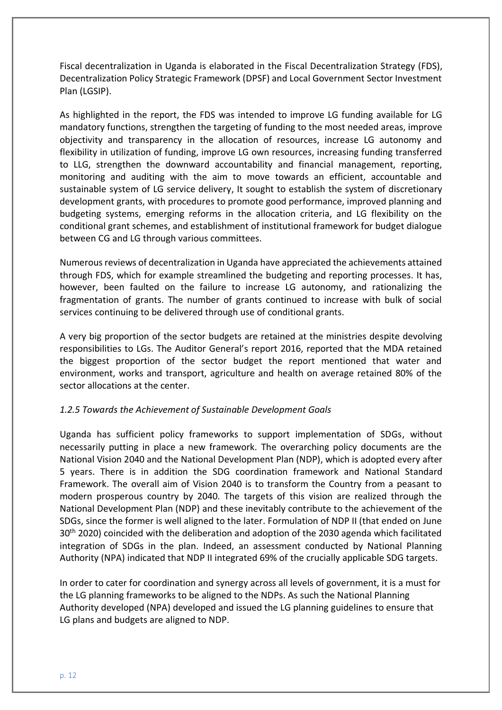Fiscal decentralization in Uganda is elaborated in the Fiscal Decentralization Strategy (FDS), Decentralization Policy Strategic Framework (DPSF) and Local Government Sector Investment Plan (LGSIP).

As highlighted in the report, the FDS was intended to improve LG funding available for LG mandatory functions, strengthen the targeting of funding to the most needed areas, improve objectivity and transparency in the allocation of resources, increase LG autonomy and flexibility in utilization of funding, improve LG own resources, increasing funding transferred to LLG, strengthen the downward accountability and financial management, reporting, monitoring and auditing with the aim to move towards an efficient, accountable and sustainable system of LG service delivery, It sought to establish the system of discretionary development grants, with procedures to promote good performance, improved planning and budgeting systems, emerging reforms in the allocation criteria, and LG flexibility on the conditional grant schemes, and establishment of institutional framework for budget dialogue between CG and LG through various committees.

Numerous reviews of decentralization in Uganda have appreciated the achievements attained through FDS, which for example streamlined the budgeting and reporting processes. It has, however, been faulted on the failure to increase LG autonomy, and rationalizing the fragmentation of grants. The number of grants continued to increase with bulk of social services continuing to be delivered through use of conditional grants.

A very big proportion of the sector budgets are retained at the ministries despite devolving responsibilities to LGs. The Auditor General's report 2016, reported that the MDA retained the biggest proportion of the sector budget the report mentioned that water and environment, works and transport, agriculture and health on average retained 80% of the sector allocations at the center.

# *1.2.5 Towards the Achievement of Sustainable Development Goals*

Uganda has sufficient policy frameworks to support implementation of SDGs, without necessarily putting in place a new framework. The overarching policy documents are the National Vision 2040 and the National Development Plan (NDP), which is adopted every after 5 years. There is in addition the SDG coordination framework and National Standard Framework. The overall aim of Vision 2040 is to transform the Country from a peasant to modern prosperous country by 2040. The targets of this vision are realized through the National Development Plan (NDP) and these inevitably contribute to the achievement of the SDGs, since the former is well aligned to the later. Formulation of NDP II (that ended on June 30<sup>th</sup> 2020) coincided with the deliberation and adoption of the 2030 agenda which facilitated integration of SDGs in the plan. Indeed, an assessment conducted by National Planning Authority (NPA) indicated that NDP II integrated 69% of the crucially applicable SDG targets.

In order to cater for coordination and synergy across all levels of government, it is a must for the LG planning frameworks to be aligned to the NDPs. As such the National Planning Authority developed (NPA) developed and issued the LG planning guidelines to ensure that LG plans and budgets are aligned to NDP.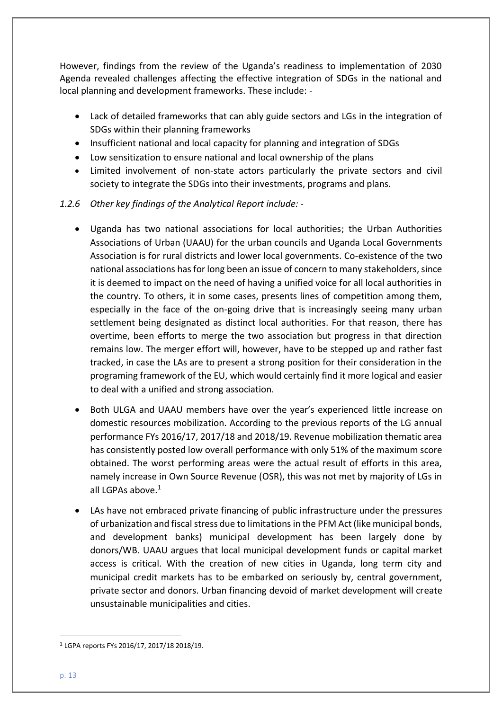However, findings from the review of the Uganda's readiness to implementation of 2030 Agenda revealed challenges affecting the effective integration of SDGs in the national and local planning and development frameworks. These include: -

- Lack of detailed frameworks that can ably guide sectors and LGs in the integration of SDGs within their planning frameworks
- Insufficient national and local capacity for planning and integration of SDGs
- Low sensitization to ensure national and local ownership of the plans
- Limited involvement of non-state actors particularly the private sectors and civil society to integrate the SDGs into their investments, programs and plans.

# *1.2.6 Other key findings of the Analytical Report include: -*

- Uganda has two national associations for local authorities; the Urban Authorities Associations of Urban (UAAU) for the urban councils and Uganda Local Governments Association is for rural districts and lower local governments. Co-existence of the two national associations has for long been an issue of concern to many stakeholders, since it is deemed to impact on the need of having a unified voice for all local authorities in the country. To others, it in some cases, presents lines of competition among them, especially in the face of the on-going drive that is increasingly seeing many urban settlement being designated as distinct local authorities. For that reason, there has overtime, been efforts to merge the two association but progress in that direction remains low. The merger effort will, however, have to be stepped up and rather fast tracked, in case the LAs are to present a strong position for their consideration in the programing framework of the EU, which would certainly find it more logical and easier to deal with a unified and strong association.
- Both ULGA and UAAU members have over the year's experienced little increase on domestic resources mobilization. According to the previous reports of the LG annual performance FYs 2016/17, 2017/18 and 2018/19. Revenue mobilization thematic area has consistently posted low overall performance with only 51% of the maximum score obtained. The worst performing areas were the actual result of efforts in this area, namely increase in Own Source Revenue (OSR), this was not met by majority of LGs in all LGPAs above. $1$
- LAs have not embraced private financing of public infrastructure under the pressures of urbanization and fiscal stress due to limitations in the PFM Act (like municipal bonds, and development banks) municipal development has been largely done by donors/WB. UAAU argues that local municipal development funds or capital market access is critical. With the creation of new cities in Uganda, long term city and municipal credit markets has to be embarked on seriously by, central government, private sector and donors. Urban financing devoid of market development will create unsustainable municipalities and cities.

<sup>1</sup> LGPA reports FYs 2016/17, 2017/18 2018/19.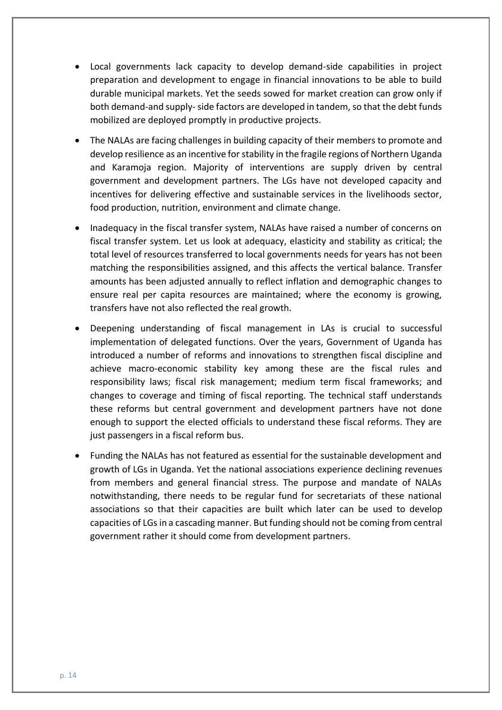- Local governments lack capacity to develop demand-side capabilities in project preparation and development to engage in financial innovations to be able to build durable municipal markets. Yet the seeds sowed for market creation can grow only if both demand-and supply-side factors are developed in tandem, so that the debt funds mobilized are deployed promptly in productive projects.
- The NALAs are facing challenges in building capacity of their members to promote and develop resilience as an incentive for stability in the fragile regions of Northern Uganda and Karamoja region. Majority of interventions are supply driven by central government and development partners. The LGs have not developed capacity and incentives for delivering effective and sustainable services in the livelihoods sector, food production, nutrition, environment and climate change.
- Inadequacy in the fiscal transfer system, NALAs have raised a number of concerns on fiscal transfer system. Let us look at adequacy, elasticity and stability as critical; the total level of resources transferred to local governments needs for years has not been matching the responsibilities assigned, and this affects the vertical balance. Transfer amounts has been adjusted annually to reflect inflation and demographic changes to ensure real per capita resources are maintained; where the economy is growing, transfers have not also reflected the real growth.
- Deepening understanding of fiscal management in LAs is crucial to successful implementation of delegated functions. Over the years, Government of Uganda has introduced a number of reforms and innovations to strengthen fiscal discipline and achieve macro-economic stability key among these are the fiscal rules and responsibility laws; fiscal risk management; medium term fiscal frameworks; and changes to coverage and timing of fiscal reporting. The technical staff understands these reforms but central government and development partners have not done enough to support the elected officials to understand these fiscal reforms. They are just passengers in a fiscal reform bus.
- Funding the NALAs has not featured as essential for the sustainable development and growth of LGs in Uganda. Yet the national associations experience declining revenues from members and general financial stress. The purpose and mandate of NALAs notwithstanding, there needs to be regular fund for secretariats of these national associations so that their capacities are built which later can be used to develop capacities of LGs in a cascading manner. But funding should not be coming from central government rather it should come from development partners.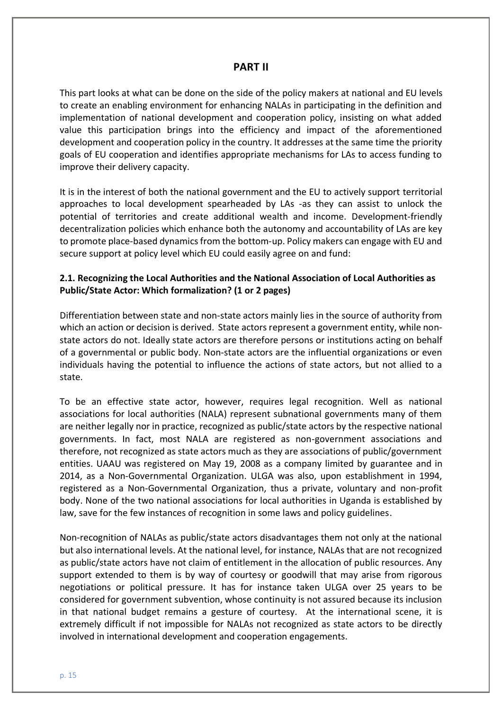# **PART II**

This part looks at what can be done on the side of the policy makers at national and EU levels to create an enabling environment for enhancing NALAs in participating in the definition and implementation of national development and cooperation policy, insisting on what added value this participation brings into the efficiency and impact of the aforementioned development and cooperation policy in the country. It addresses at the same time the priority goals of EU cooperation and identifies appropriate mechanisms for LAs to access funding to improve their delivery capacity.

It is in the interest of both the national government and the EU to actively support territorial approaches to local development spearheaded by LAs -as they can assist to unlock the potential of territories and create additional wealth and income. Development-friendly decentralization policies which enhance both the autonomy and accountability of LAs are key to promote place-based dynamics from the bottom-up. Policy makers can engage with EU and secure support at policy level which EU could easily agree on and fund:

# **2.1. Recognizing the Local Authorities and the National Association of Local Authorities as Public/State Actor: Which formalization? (1 or 2 pages)**

Differentiation between state and non-state actors mainly lies in the source of authority from which an action or decision is derived. State actors represent a government entity, while nonstate actors do not. Ideally state actors are therefore persons or institutions acting on behalf of a governmental or public body. Non-state actors are the influential organizations or even individuals having the potential to influence the actions of state actors, but not allied to a state.

To be an effective state actor, however, requires legal recognition. Well as national associations for local authorities (NALA) represent subnational governments many of them are neither legally nor in practice, recognized as public/state actors by the respective national governments. In fact, most NALA are registered as non-government associations and therefore, not recognized as state actors much as they are associations of public/government entities. UAAU was registered on May 19, 2008 as a company limited by guarantee and in 2014, as a Non-Governmental Organization. ULGA was also, upon establishment in 1994, registered as a Non-Governmental Organization, thus a private, voluntary and non-profit body. None of the two national associations for local authorities in Uganda is established by law, save for the few instances of recognition in some laws and policy guidelines.

Non-recognition of NALAs as public/state actors disadvantages them not only at the national but also international levels. At the national level, for instance, NALAs that are not recognized as public/state actors have not claim of entitlement in the allocation of public resources. Any support extended to them is by way of courtesy or goodwill that may arise from rigorous negotiations or political pressure. It has for instance taken ULGA over 25 years to be considered for government subvention, whose continuity is not assured because its inclusion in that national budget remains a gesture of courtesy. At the international scene, it is extremely difficult if not impossible for NALAs not recognized as state actors to be directly involved in international development and cooperation engagements.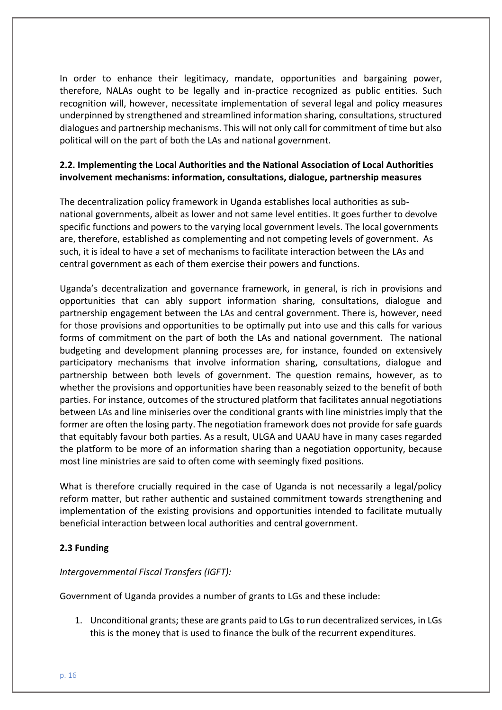In order to enhance their legitimacy, mandate, opportunities and bargaining power, therefore, NALAs ought to be legally and in-practice recognized as public entities. Such recognition will, however, necessitate implementation of several legal and policy measures underpinned by strengthened and streamlined information sharing, consultations, structured dialogues and partnership mechanisms. This will not only call for commitment of time but also political will on the part of both the LAs and national government.

# **2.2. Implementing the Local Authorities and the National Association of Local Authorities involvement mechanisms: information, consultations, dialogue, partnership measures**

The decentralization policy framework in Uganda establishes local authorities as subnational governments, albeit as lower and not same level entities. It goes further to devolve specific functions and powers to the varying local government levels. The local governments are, therefore, established as complementing and not competing levels of government. As such, it is ideal to have a set of mechanisms to facilitate interaction between the LAs and central government as each of them exercise their powers and functions.

Uganda's decentralization and governance framework, in general, is rich in provisions and opportunities that can ably support information sharing, consultations, dialogue and partnership engagement between the LAs and central government. There is, however, need for those provisions and opportunities to be optimally put into use and this calls for various forms of commitment on the part of both the LAs and national government. The national budgeting and development planning processes are, for instance, founded on extensively participatory mechanisms that involve information sharing, consultations, dialogue and partnership between both levels of government. The question remains, however, as to whether the provisions and opportunities have been reasonably seized to the benefit of both parties. For instance, outcomes of the structured platform that facilitates annual negotiations between LAs and line miniseries over the conditional grants with line ministries imply that the former are often the losing party. The negotiation framework does not provide for safe guards that equitably favour both parties. As a result, ULGA and UAAU have in many cases regarded the platform to be more of an information sharing than a negotiation opportunity, because most line ministries are said to often come with seemingly fixed positions.

What is therefore crucially required in the case of Uganda is not necessarily a legal/policy reform matter, but rather authentic and sustained commitment towards strengthening and implementation of the existing provisions and opportunities intended to facilitate mutually beneficial interaction between local authorities and central government.

# **2.3 Funding**

# *Intergovernmental Fiscal Transfers (IGFT):*

Government of Uganda provides a number of grants to LGs and these include:

1. Unconditional grants; these are grants paid to LGs to run decentralized services, in LGs this is the money that is used to finance the bulk of the recurrent expenditures.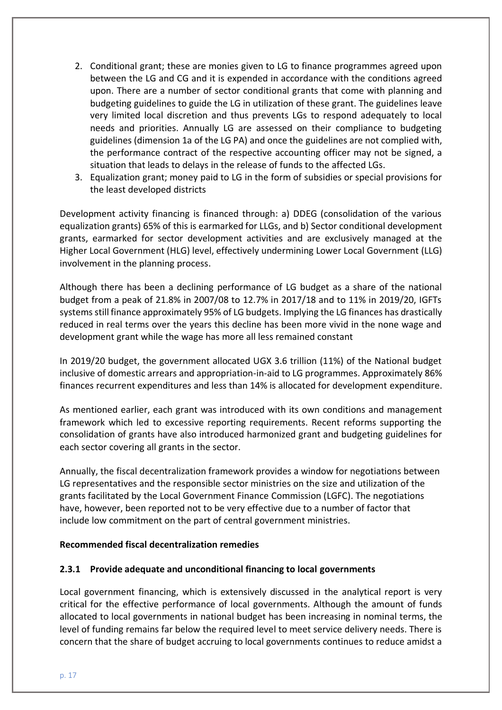- 2. Conditional grant; these are monies given to LG to finance programmes agreed upon between the LG and CG and it is expended in accordance with the conditions agreed upon. There are a number of sector conditional grants that come with planning and budgeting guidelines to guide the LG in utilization of these grant. The guidelines leave very limited local discretion and thus prevents LGs to respond adequately to local needs and priorities. Annually LG are assessed on their compliance to budgeting guidelines (dimension 1a of the LG PA) and once the guidelines are not complied with, the performance contract of the respective accounting officer may not be signed, a situation that leads to delays in the release of funds to the affected LGs.
- 3. Equalization grant; money paid to LG in the form of subsidies or special provisions for the least developed districts

Development activity financing is financed through: a) DDEG (consolidation of the various equalization grants) 65% of this is earmarked for LLGs, and b) Sector conditional development grants, earmarked for sector development activities and are exclusively managed at the Higher Local Government (HLG) level, effectively undermining Lower Local Government (LLG) involvement in the planning process.

Although there has been a declining performance of LG budget as a share of the national budget from a peak of 21.8% in 2007/08 to 12.7% in 2017/18 and to 11% in 2019/20, IGFTs systems still finance approximately 95% of LG budgets. Implying the LG finances has drastically reduced in real terms over the years this decline has been more vivid in the none wage and development grant while the wage has more all less remained constant

In 2019/20 budget, the government allocated UGX 3.6 trillion (11%) of the National budget inclusive of domestic arrears and appropriation-in-aid to LG programmes. Approximately 86% finances recurrent expenditures and less than 14% is allocated for development expenditure.

As mentioned earlier, each grant was introduced with its own conditions and management framework which led to excessive reporting requirements. Recent reforms supporting the consolidation of grants have also introduced harmonized grant and budgeting guidelines for each sector covering all grants in the sector.

Annually, the fiscal decentralization framework provides a window for negotiations between LG representatives and the responsible sector ministries on the size and utilization of the grants facilitated by the Local Government Finance Commission (LGFC). The negotiations have, however, been reported not to be very effective due to a number of factor that include low commitment on the part of central government ministries.

#### **Recommended fiscal decentralization remedies**

# **2.3.1 Provide adequate and unconditional financing to local governments**

Local government financing, which is extensively discussed in the analytical report is very critical for the effective performance of local governments. Although the amount of funds allocated to local governments in national budget has been increasing in nominal terms, the level of funding remains far below the required level to meet service delivery needs. There is concern that the share of budget accruing to local governments continues to reduce amidst a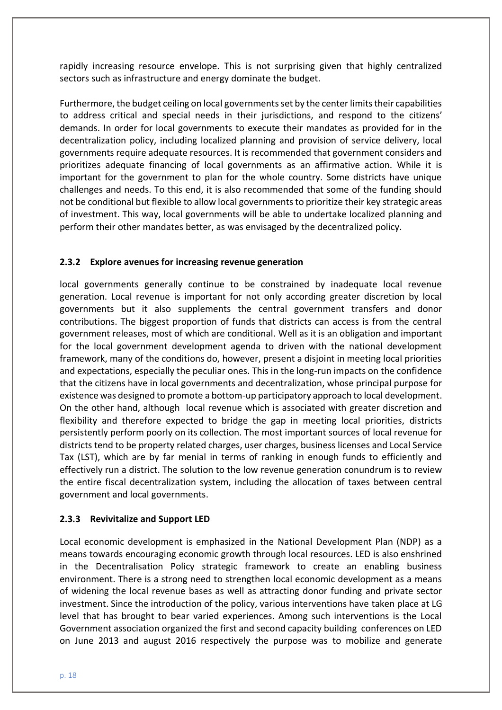rapidly increasing resource envelope. This is not surprising given that highly centralized sectors such as infrastructure and energy dominate the budget.

Furthermore, the budget ceiling on local governments set by the center limits their capabilities to address critical and special needs in their jurisdictions, and respond to the citizens' demands. In order for local governments to execute their mandates as provided for in the decentralization policy, including localized planning and provision of service delivery, local governments require adequate resources. It is recommended that government considers and prioritizes adequate financing of local governments as an affirmative action. While it is important for the government to plan for the whole country. Some districts have unique challenges and needs. To this end, it is also recommended that some of the funding should not be conditional but flexible to allow local governments to prioritize their key strategic areas of investment. This way, local governments will be able to undertake localized planning and perform their other mandates better, as was envisaged by the decentralized policy.

# **2.3.2 Explore avenues for increasing revenue generation**

local governments generally continue to be constrained by inadequate local revenue generation. Local revenue is important for not only according greater discretion by local governments but it also supplements the central government transfers and donor contributions. The biggest proportion of funds that districts can access is from the central government releases, most of which are conditional. Well as it is an obligation and important for the local government development agenda to driven with the national development framework, many of the conditions do, however, present a disjoint in meeting local priorities and expectations, especially the peculiar ones. This in the long-run impacts on the confidence that the citizens have in local governments and decentralization, whose principal purpose for existence was designed to promote a bottom-up participatory approach to local development. On the other hand, although local revenue which is associated with greater discretion and flexibility and therefore expected to bridge the gap in meeting local priorities, districts persistently perform poorly on its collection. The most important sources of local revenue for districts tend to be property related charges, user charges, business licenses and Local Service Tax (LST), which are by far menial in terms of ranking in enough funds to efficiently and effectively run a district. The solution to the low revenue generation conundrum is to review the entire fiscal decentralization system, including the allocation of taxes between central government and local governments.

# **2.3.3 Revivitalize and Support LED**

Local economic development is emphasized in the National Development Plan (NDP) as a means towards encouraging economic growth through local resources. LED is also enshrined in the Decentralisation Policy strategic framework to create an enabling business environment. There is a strong need to strengthen local economic development as a means of widening the local revenue bases as well as attracting donor funding and private sector investment. Since the introduction of the policy, various interventions have taken place at LG level that has brought to bear varied experiences. Among such interventions is the Local Government association organized the first and second capacity building conferences on LED on June 2013 and august 2016 respectively the purpose was to mobilize and generate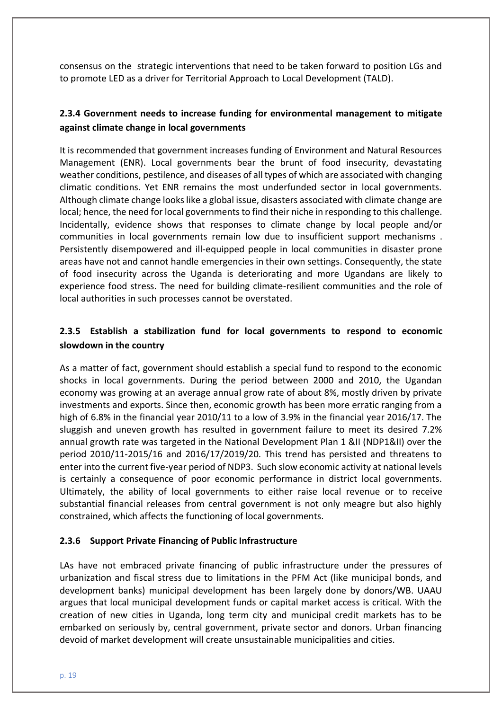consensus on the strategic interventions that need to be taken forward to position LGs and to promote LED as a driver for Territorial Approach to Local Development (TALD).

# **2.3.4 Government needs to increase funding for environmental management to mitigate against climate change in local governments**

It is recommended that government increases funding of Environment and Natural Resources Management (ENR). Local governments bear the brunt of food insecurity, devastating weather conditions, pestilence, and diseases of all types of which are associated with changing climatic conditions. Yet ENR remains the most underfunded sector in local governments. Although climate change looks like a global issue, disasters associated with climate change are local; hence, the need for local governments to find their niche in responding to this challenge. Incidentally, evidence shows that responses to climate change by local people and/or communities in local governments remain low due to insufficient support mechanisms . Persistently disempowered and ill-equipped people in local communities in disaster prone areas have not and cannot handle emergencies in their own settings. Consequently, the state of food insecurity across the Uganda is deteriorating and more Ugandans are likely to experience food stress. The need for building climate-resilient communities and the role of local authorities in such processes cannot be overstated.

# **2.3.5 Establish a stabilization fund for local governments to respond to economic slowdown in the country**

As a matter of fact, government should establish a special fund to respond to the economic shocks in local governments. During the period between 2000 and 2010, the Ugandan economy was growing at an average annual grow rate of about 8%, mostly driven by private investments and exports. Since then, economic growth has been more erratic ranging from a high of 6.8% in the financial year 2010/11 to a low of 3.9% in the financial year 2016/17. The sluggish and uneven growth has resulted in government failure to meet its desired 7.2% annual growth rate was targeted in the National Development Plan 1 &II (NDP1&II) over the period 2010/11-2015/16 and 2016/17/2019/20. This trend has persisted and threatens to enter into the current five-year period of NDP3. Such slow economic activity at national levels is certainly a consequence of poor economic performance in district local governments. Ultimately, the ability of local governments to either raise local revenue or to receive substantial financial releases from central government is not only meagre but also highly constrained, which affects the functioning of local governments.

# **2.3.6 Support Private Financing of Public Infrastructure**

LAs have not embraced private financing of public infrastructure under the pressures of urbanization and fiscal stress due to limitations in the PFM Act (like municipal bonds, and development banks) municipal development has been largely done by donors/WB. UAAU argues that local municipal development funds or capital market access is critical. With the creation of new cities in Uganda, long term city and municipal credit markets has to be embarked on seriously by, central government, private sector and donors. Urban financing devoid of market development will create unsustainable municipalities and cities.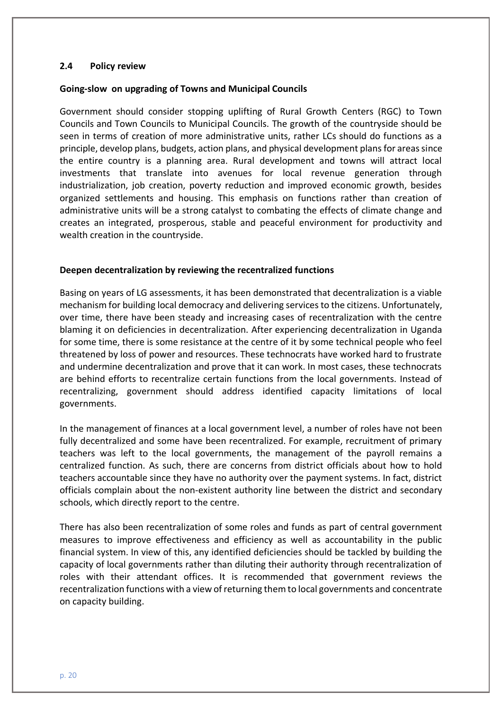#### **2.4 Policy review**

#### **Going-slow on upgrading of Towns and Municipal Councils**

Government should consider stopping uplifting of Rural Growth Centers (RGC) to Town Councils and Town Councils to Municipal Councils. The growth of the countryside should be seen in terms of creation of more administrative units, rather LCs should do functions as a principle, develop plans, budgets, action plans, and physical development plans for areas since the entire country is a planning area. Rural development and towns will attract local investments that translate into avenues for local revenue generation through industrialization, job creation, poverty reduction and improved economic growth, besides organized settlements and housing. This emphasis on functions rather than creation of administrative units will be a strong catalyst to combating the effects of climate change and creates an integrated, prosperous, stable and peaceful environment for productivity and wealth creation in the countryside.

## **Deepen decentralization by reviewing the recentralized functions**

Basing on years of LG assessments, it has been demonstrated that decentralization is a viable mechanism for building local democracy and delivering services to the citizens. Unfortunately, over time, there have been steady and increasing cases of recentralization with the centre blaming it on deficiencies in decentralization. After experiencing decentralization in Uganda for some time, there is some resistance at the centre of it by some technical people who feel threatened by loss of power and resources. These technocrats have worked hard to frustrate and undermine decentralization and prove that it can work. In most cases, these technocrats are behind efforts to recentralize certain functions from the local governments. Instead of recentralizing, government should address identified capacity limitations of local governments.

In the management of finances at a local government level, a number of roles have not been fully decentralized and some have been recentralized. For example, recruitment of primary teachers was left to the local governments, the management of the payroll remains a centralized function. As such, there are concerns from district officials about how to hold teachers accountable since they have no authority over the payment systems. In fact, district officials complain about the non-existent authority line between the district and secondary schools, which directly report to the centre.

There has also been recentralization of some roles and funds as part of central government measures to improve effectiveness and efficiency as well as accountability in the public financial system. In view of this, any identified deficiencies should be tackled by building the capacity of local governments rather than diluting their authority through recentralization of roles with their attendant offices. It is recommended that government reviews the recentralization functions with a view of returning them to local governments and concentrate on capacity building.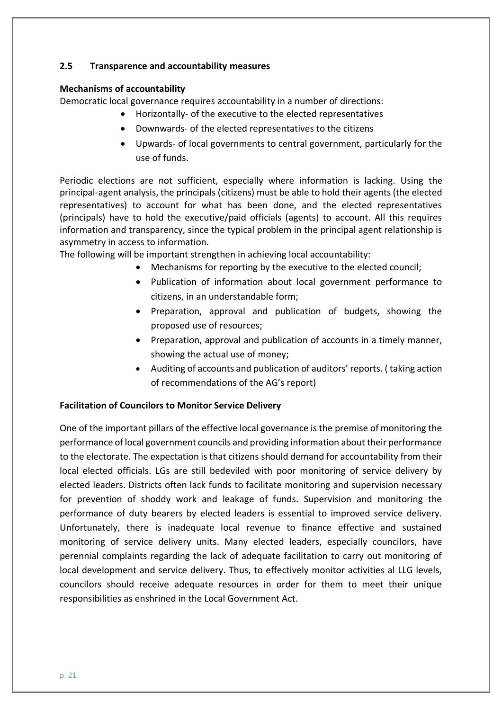## **2.5 Transparence and accountability measures**

## **Mechanisms of accountability**

Democratic local governance requires accountability in a number of directions:

- Horizontally- of the executive to the elected representatives
	- Downwards- of the elected representatives to the citizens
	- Upwards- of local governments to central government, particularly for the use of funds.

Periodic elections are not sufficient, especially where information is lacking. Using the principal-agent analysis, the principals (citizens) must be able to hold their agents (the elected representatives) to account for what has been done, and the elected representatives (principals) have to hold the executive/paid officials (agents) to account. All this requires information and transparency, since the typical problem in the principal agent relationship is asymmetry in access to information.

The following will be important strengthen in achieving local accountability:

- Mechanisms for reporting by the executive to the elected council;
- Publication of information about local government performance to citizens, in an understandable form;
- Preparation, approval and publication of budgets, showing the proposed use of resources;
- Preparation, approval and publication of accounts in a timely manner, showing the actual use of money;
- Auditing of accounts and publication of auditors' reports. ( taking action of recommendations of the AG's report)

# **Facilitation of Councilors to Monitor Service Delivery**

One of the important pillars of the effective local governance is the premise of monitoring the performance of local government councils and providing information about their performance to the electorate. The expectation is that citizens should demand for accountability from their local elected officials. LGs are still bedeviled with poor monitoring of service delivery by elected leaders. Districts often lack funds to facilitate monitoring and supervision necessary for prevention of shoddy work and leakage of funds. Supervision and monitoring the performance of duty bearers by elected leaders is essential to improved service delivery. Unfortunately, there is inadequate local revenue to finance effective and sustained monitoring of service delivery units. Many elected leaders, especially councilors, have perennial complaints regarding the lack of adequate facilitation to carry out monitoring of local development and service delivery. Thus, to effectively monitor activities al LLG levels, councilors should receive adequate resources in order for them to meet their unique responsibilities as enshrined in the Local Government Act.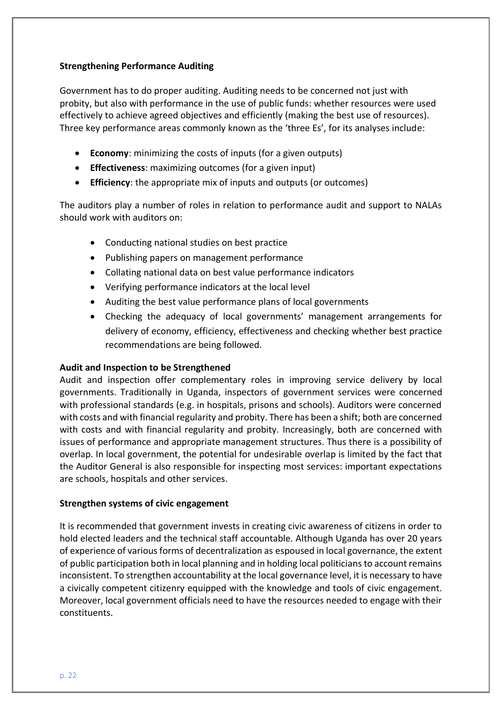## **Strengthening Performance Auditing**

Government has to do proper auditing. Auditing needs to be concerned not just with probity, but also with performance in the use of public funds: whether resources were used effectively to achieve agreed objectives and efficiently (making the best use of resources). Three key performance areas commonly known as the 'three Es', for its analyses include:

- **Economy**: minimizing the costs of inputs (for a given outputs)
- **Effectiveness**: maximizing outcomes (for a given input)
- **Efficiency**: the appropriate mix of inputs and outputs (or outcomes)

The auditors play a number of roles in relation to performance audit and support to NALAs should work with auditors on:

- Conducting national studies on best practice
- Publishing papers on management performance
- Collating national data on best value performance indicators
- Verifying performance indicators at the local level
- Auditing the best value performance plans of local governments
- Checking the adequacy of local governments' management arrangements for delivery of economy, efficiency, effectiveness and checking whether best practice recommendations are being followed.

# **Audit and Inspection to be Strengthened**

Audit and inspection offer complementary roles in improving service delivery by local governments. Traditionally in Uganda, inspectors of government services were concerned with professional standards (e.g. in hospitals, prisons and schools). Auditors were concerned with costs and with financial regularity and probity. There has been a shift; both are concerned with costs and with financial regularity and probity. Increasingly, both are concerned with issues of performance and appropriate management structures. Thus there is a possibility of overlap. In local government, the potential for undesirable overlap is limited by the fact that the Auditor General is also responsible for inspecting most services: important expectations are schools, hospitals and other services.

# **Strengthen systems of civic engagement**

It is recommended that government invests in creating civic awareness of citizens in order to hold elected leaders and the technical staff accountable. Although Uganda has over 20 years of experience of various forms of decentralization as espoused in local governance, the extent of public participation both in local planning and in holding local politicians to account remains inconsistent. To strengthen accountability at the local governance level, it is necessary to have a civically competent citizenry equipped with the knowledge and tools of civic engagement. Moreover, local government officials need to have the resources needed to engage with their constituents.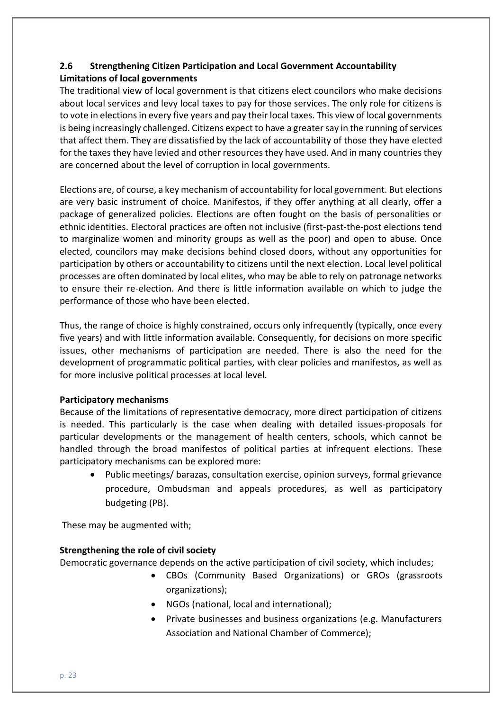# **2.6 Strengthening Citizen Participation and Local Government Accountability Limitations of local governments**

The traditional view of local government is that citizens elect councilors who make decisions about local services and levy local taxes to pay for those services. The only role for citizens is to vote in elections in every five years and pay their local taxes. This view of local governments is being increasingly challenged. Citizens expect to have a greater say in the running of services that affect them. They are dissatisfied by the lack of accountability of those they have elected for the taxes they have levied and other resources they have used. And in many countries they are concerned about the level of corruption in local governments.

Elections are, of course, a key mechanism of accountability for local government. But elections are very basic instrument of choice. Manifestos, if they offer anything at all clearly, offer a package of generalized policies. Elections are often fought on the basis of personalities or ethnic identities. Electoral practices are often not inclusive (first-past-the-post elections tend to marginalize women and minority groups as well as the poor) and open to abuse. Once elected, councilors may make decisions behind closed doors, without any opportunities for participation by others or accountability to citizens until the next election. Local level political processes are often dominated by local elites, who may be able to rely on patronage networks to ensure their re-election. And there is little information available on which to judge the performance of those who have been elected.

Thus, the range of choice is highly constrained, occurs only infrequently (typically, once every five years) and with little information available. Consequently, for decisions on more specific issues, other mechanisms of participation are needed. There is also the need for the development of programmatic political parties, with clear policies and manifestos, as well as for more inclusive political processes at local level.

# **Participatory mechanisms**

Because of the limitations of representative democracy, more direct participation of citizens is needed. This particularly is the case when dealing with detailed issues-proposals for particular developments or the management of health centers, schools, which cannot be handled through the broad manifestos of political parties at infrequent elections. These participatory mechanisms can be explored more:

• Public meetings/ barazas, consultation exercise, opinion surveys, formal grievance procedure, Ombudsman and appeals procedures, as well as participatory budgeting (PB).

These may be augmented with;

# **Strengthening the role of civil society**

Democratic governance depends on the active participation of civil society, which includes;

- CBOs (Community Based Organizations) or GROs (grassroots organizations);
	- NGOs (national, local and international);
- Private businesses and business organizations (e.g. Manufacturers Association and National Chamber of Commerce);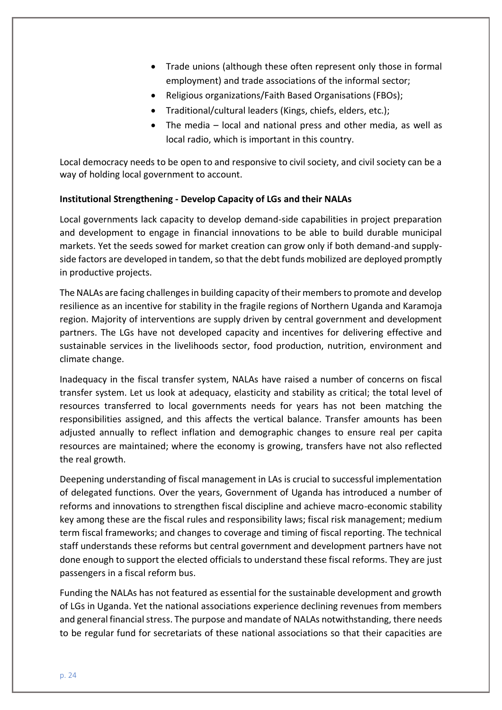- Trade unions (although these often represent only those in formal employment) and trade associations of the informal sector;
- Religious organizations/Faith Based Organisations (FBOs);
- Traditional/cultural leaders (Kings, chiefs, elders, etc.);
- The media local and national press and other media, as well as local radio, which is important in this country.

Local democracy needs to be open to and responsive to civil society, and civil society can be a way of holding local government to account.

# **Institutional Strengthening - Develop Capacity of LGs and their NALAs**

Local governments lack capacity to develop demand-side capabilities in project preparation and development to engage in financial innovations to be able to build durable municipal markets. Yet the seeds sowed for market creation can grow only if both demand-and supplyside factors are developed in tandem, so that the debt funds mobilized are deployed promptly in productive projects.

The NALAs are facing challenges in building capacity of their members to promote and develop resilience as an incentive for stability in the fragile regions of Northern Uganda and Karamoja region. Majority of interventions are supply driven by central government and development partners. The LGs have not developed capacity and incentives for delivering effective and sustainable services in the livelihoods sector, food production, nutrition, environment and climate change.

Inadequacy in the fiscal transfer system, NALAs have raised a number of concerns on fiscal transfer system. Let us look at adequacy, elasticity and stability as critical; the total level of resources transferred to local governments needs for years has not been matching the responsibilities assigned, and this affects the vertical balance. Transfer amounts has been adjusted annually to reflect inflation and demographic changes to ensure real per capita resources are maintained; where the economy is growing, transfers have not also reflected the real growth.

Deepening understanding of fiscal management in LAs is crucial to successful implementation of delegated functions. Over the years, Government of Uganda has introduced a number of reforms and innovations to strengthen fiscal discipline and achieve macro-economic stability key among these are the fiscal rules and responsibility laws; fiscal risk management; medium term fiscal frameworks; and changes to coverage and timing of fiscal reporting. The technical staff understands these reforms but central government and development partners have not done enough to support the elected officials to understand these fiscal reforms. They are just passengers in a fiscal reform bus.

Funding the NALAs has not featured as essential for the sustainable development and growth of LGs in Uganda. Yet the national associations experience declining revenues from members and general financial stress. The purpose and mandate of NALAs notwithstanding, there needs to be regular fund for secretariats of these national associations so that their capacities are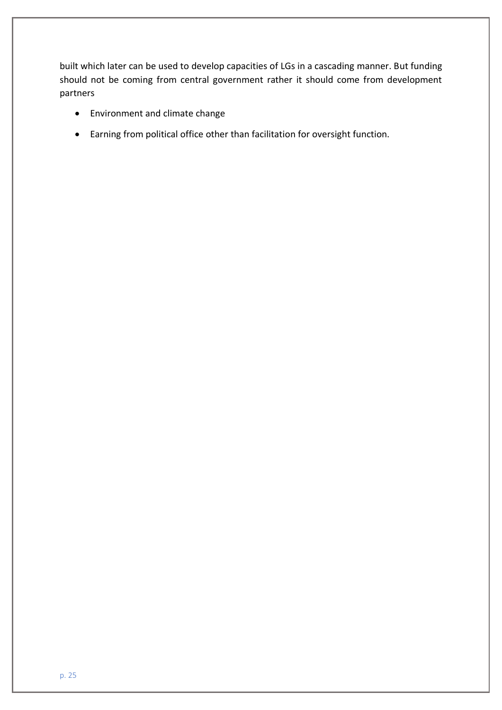built which later can be used to develop capacities of LGs in a cascading manner. But funding should not be coming from central government rather it should come from development partners

- Environment and climate change
- Earning from political office other than facilitation for oversight function.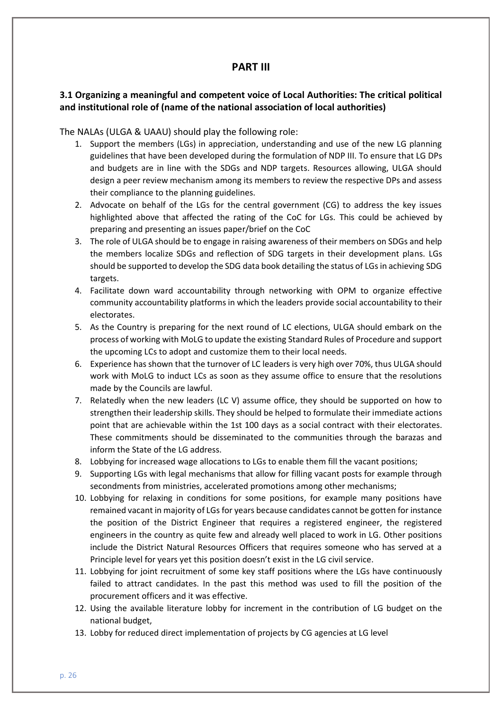# **PART III**

# **3.1 Organizing a meaningful and competent voice of Local Authorities: The critical political and institutional role of (name of the national association of local authorities)**

The NALAs (ULGA & UAAU) should play the following role:

- 1. Support the members (LGs) in appreciation, understanding and use of the new LG planning guidelines that have been developed during the formulation of NDP III. To ensure that LG DPs and budgets are in line with the SDGs and NDP targets. Resources allowing, ULGA should design a peer review mechanism among its members to review the respective DPs and assess their compliance to the planning guidelines.
- 2. Advocate on behalf of the LGs for the central government (CG) to address the key issues highlighted above that affected the rating of the CoC for LGs. This could be achieved by preparing and presenting an issues paper/brief on the CoC
- 3. The role of ULGA should be to engage in raising awareness of their members on SDGs and help the members localize SDGs and reflection of SDG targets in their development plans. LGs should be supported to develop the SDG data book detailing the status of LGs in achieving SDG targets.
- 4. Facilitate down ward accountability through networking with OPM to organize effective community accountability platforms in which the leaders provide social accountability to their electorates.
- 5. As the Country is preparing for the next round of LC elections, ULGA should embark on the process of working with MoLG to update the existing Standard Rules of Procedure and support the upcoming LCs to adopt and customize them to their local needs.
- 6. Experience has shown that the turnover of LC leaders is very high over 70%, thus ULGA should work with MoLG to induct LCs as soon as they assume office to ensure that the resolutions made by the Councils are lawful.
- 7. Relatedly when the new leaders (LC V) assume office, they should be supported on how to strengthen their leadership skills. They should be helped to formulate their immediate actions point that are achievable within the 1st 100 days as a social contract with their electorates. These commitments should be disseminated to the communities through the barazas and inform the State of the LG address.
- 8. Lobbying for increased wage allocations to LGs to enable them fill the vacant positions;
- 9. Supporting LGs with legal mechanisms that allow for filling vacant posts for example through secondments from ministries, accelerated promotions among other mechanisms;
- 10. Lobbying for relaxing in conditions for some positions, for example many positions have remained vacant in majority of LGs for years because candidates cannot be gotten for instance the position of the District Engineer that requires a registered engineer, the registered engineers in the country as quite few and already well placed to work in LG. Other positions include the District Natural Resources Officers that requires someone who has served at a Principle level for years yet this position doesn't exist in the LG civil service.
- 11. Lobbying for joint recruitment of some key staff positions where the LGs have continuously failed to attract candidates. In the past this method was used to fill the position of the procurement officers and it was effective.
- 12. Using the available literature lobby for increment in the contribution of LG budget on the national budget,
- 13. Lobby for reduced direct implementation of projects by CG agencies at LG level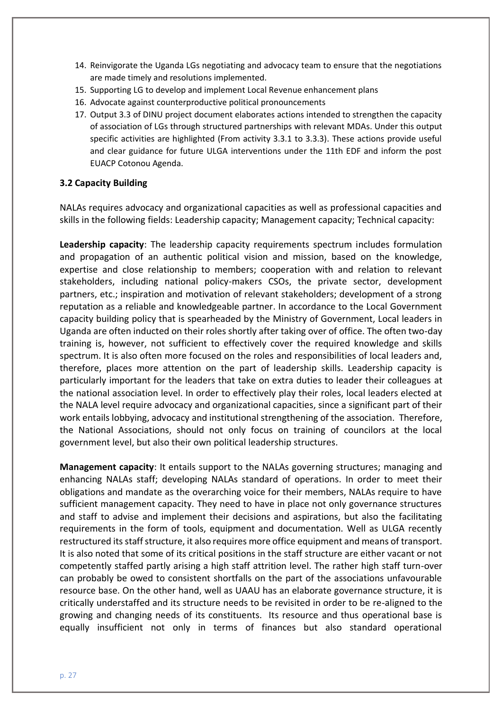- 14. Reinvigorate the Uganda LGs negotiating and advocacy team to ensure that the negotiations are made timely and resolutions implemented.
- 15. Supporting LG to develop and implement Local Revenue enhancement plans
- 16. Advocate against counterproductive political pronouncements
- 17. Output 3.3 of DINU project document elaborates actions intended to strengthen the capacity of association of LGs through structured partnerships with relevant MDAs. Under this output specific activities are highlighted (From activity 3.3.1 to 3.3.3). These actions provide useful and clear guidance for future ULGA interventions under the 11th EDF and inform the post EUACP Cotonou Agenda.

#### **3.2 Capacity Building**

NALAs requires advocacy and organizational capacities as well as professional capacities and skills in the following fields: Leadership capacity; Management capacity; Technical capacity:

**Leadership capacity**: The leadership capacity requirements spectrum includes formulation and propagation of an authentic political vision and mission, based on the knowledge, expertise and close relationship to members; cooperation with and relation to relevant stakeholders, including national policy-makers CSOs, the private sector, development partners, etc.; inspiration and motivation of relevant stakeholders; development of a strong reputation as a reliable and knowledgeable partner. In accordance to the Local Government capacity building policy that is spearheaded by the Ministry of Government, Local leaders in Uganda are often inducted on their roles shortly after taking over of office. The often two-day training is, however, not sufficient to effectively cover the required knowledge and skills spectrum. It is also often more focused on the roles and responsibilities of local leaders and, therefore, places more attention on the part of leadership skills. Leadership capacity is particularly important for the leaders that take on extra duties to leader their colleagues at the national association level. In order to effectively play their roles, local leaders elected at the NALA level require advocacy and organizational capacities, since a significant part of their work entails lobbying, advocacy and institutional strengthening of the association. Therefore, the National Associations, should not only focus on training of councilors at the local government level, but also their own political leadership structures.

**Management capacity**: It entails support to the NALAs governing structures; managing and enhancing NALAs staff; developing NALAs standard of operations. In order to meet their obligations and mandate as the overarching voice for their members, NALAs require to have sufficient management capacity. They need to have in place not only governance structures and staff to advise and implement their decisions and aspirations, but also the facilitating requirements in the form of tools, equipment and documentation. Well as ULGA recently restructured its staff structure, it also requires more office equipment and means of transport. It is also noted that some of its critical positions in the staff structure are either vacant or not competently staffed partly arising a high staff attrition level. The rather high staff turn-over can probably be owed to consistent shortfalls on the part of the associations unfavourable resource base. On the other hand, well as UAAU has an elaborate governance structure, it is critically understaffed and its structure needs to be revisited in order to be re-aligned to the growing and changing needs of its constituents. Its resource and thus operational base is equally insufficient not only in terms of finances but also standard operational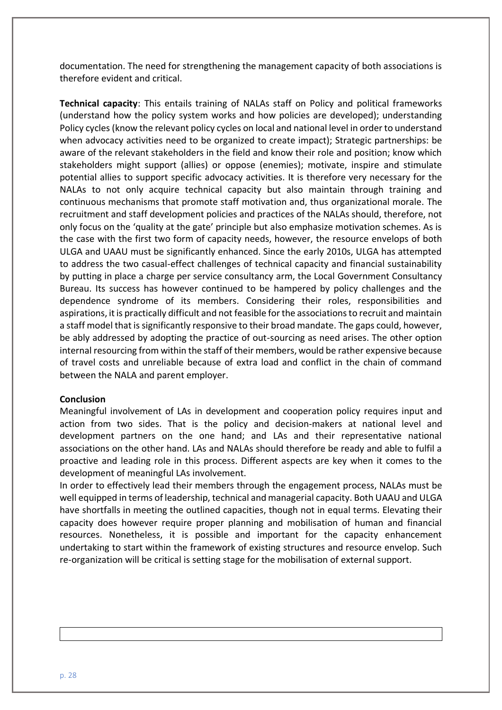documentation. The need for strengthening the management capacity of both associations is therefore evident and critical.

**Technical capacity**: This entails training of NALAs staff on Policy and political frameworks (understand how the policy system works and how policies are developed); understanding Policy cycles (know the relevant policy cycles on local and national level in order to understand when advocacy activities need to be organized to create impact); Strategic partnerships: be aware of the relevant stakeholders in the field and know their role and position; know which stakeholders might support (allies) or oppose (enemies); motivate, inspire and stimulate potential allies to support specific advocacy activities. It is therefore very necessary for the NALAs to not only acquire technical capacity but also maintain through training and continuous mechanisms that promote staff motivation and, thus organizational morale. The recruitment and staff development policies and practices of the NALAs should, therefore, not only focus on the 'quality at the gate' principle but also emphasize motivation schemes. As is the case with the first two form of capacity needs, however, the resource envelops of both ULGA and UAAU must be significantly enhanced. Since the early 2010s, ULGA has attempted to address the two casual-effect challenges of technical capacity and financial sustainability by putting in place a charge per service consultancy arm, the Local Government Consultancy Bureau. Its success has however continued to be hampered by policy challenges and the dependence syndrome of its members. Considering their roles, responsibilities and aspirations, it is practically difficult and not feasible for the associations to recruit and maintain a staff model that is significantly responsive to their broad mandate. The gaps could, however, be ably addressed by adopting the practice of out-sourcing as need arises. The other option internal resourcing from within the staff of their members, would be rather expensive because of travel costs and unreliable because of extra load and conflict in the chain of command between the NALA and parent employer.

#### **Conclusion**

Meaningful involvement of LAs in development and cooperation policy requires input and action from two sides. That is the policy and decision-makers at national level and development partners on the one hand; and LAs and their representative national associations on the other hand. LAs and NALAs should therefore be ready and able to fulfil a proactive and leading role in this process. Different aspects are key when it comes to the development of meaningful LAs involvement.

In order to effectively lead their members through the engagement process, NALAs must be well equipped in terms of leadership, technical and managerial capacity. Both UAAU and ULGA have shortfalls in meeting the outlined capacities, though not in equal terms. Elevating their capacity does however require proper planning and mobilisation of human and financial resources. Nonetheless, it is possible and important for the capacity enhancement undertaking to start within the framework of existing structures and resource envelop. Such re-organization will be critical is setting stage for the mobilisation of external support.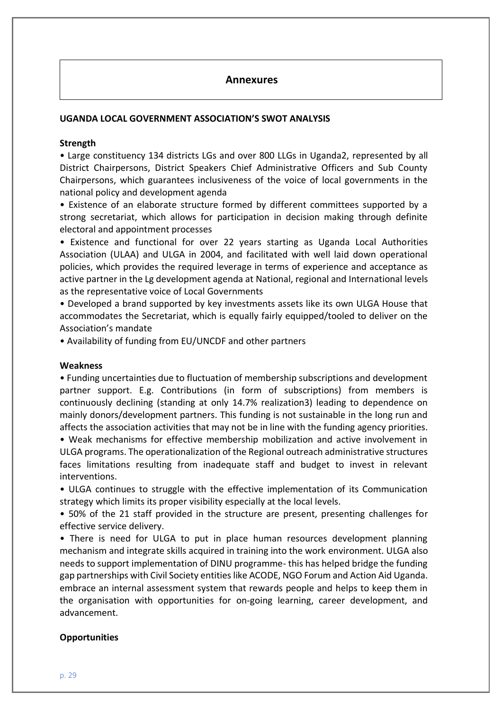# **Annexures**

#### **UGANDA LOCAL GOVERNMENT ASSOCIATION'S SWOT ANALYSIS**

#### **Strength**

• Large constituency 134 districts LGs and over 800 LLGs in Uganda2, represented by all District Chairpersons, District Speakers Chief Administrative Officers and Sub County Chairpersons, which guarantees inclusiveness of the voice of local governments in the national policy and development agenda

• Existence of an elaborate structure formed by different committees supported by a strong secretariat, which allows for participation in decision making through definite electoral and appointment processes

• Existence and functional for over 22 years starting as Uganda Local Authorities Association (ULAA) and ULGA in 2004, and facilitated with well laid down operational policies, which provides the required leverage in terms of experience and acceptance as active partner in the Lg development agenda at National, regional and International levels as the representative voice of Local Governments

• Developed a brand supported by key investments assets like its own ULGA House that accommodates the Secretariat, which is equally fairly equipped/tooled to deliver on the Association's mandate

• Availability of funding from EU/UNCDF and other partners

#### **Weakness**

• Funding uncertainties due to fluctuation of membership subscriptions and development partner support. E.g. Contributions (in form of subscriptions) from members is continuously declining (standing at only 14.7% realization3) leading to dependence on mainly donors/development partners. This funding is not sustainable in the long run and affects the association activities that may not be in line with the funding agency priorities. • Weak mechanisms for effective membership mobilization and active involvement in

ULGA programs. The operationalization of the Regional outreach administrative structures faces limitations resulting from inadequate staff and budget to invest in relevant interventions.

• ULGA continues to struggle with the effective implementation of its Communication strategy which limits its proper visibility especially at the local levels.

• 50% of the 21 staff provided in the structure are present, presenting challenges for effective service delivery.

• There is need for ULGA to put in place human resources development planning mechanism and integrate skills acquired in training into the work environment. ULGA also needs to support implementation of DINU programme- this has helped bridge the funding gap partnerships with Civil Society entities like ACODE, NGO Forum and Action Aid Uganda. embrace an internal assessment system that rewards people and helps to keep them in the organisation with opportunities for on-going learning, career development, and advancement.

#### **Opportunities**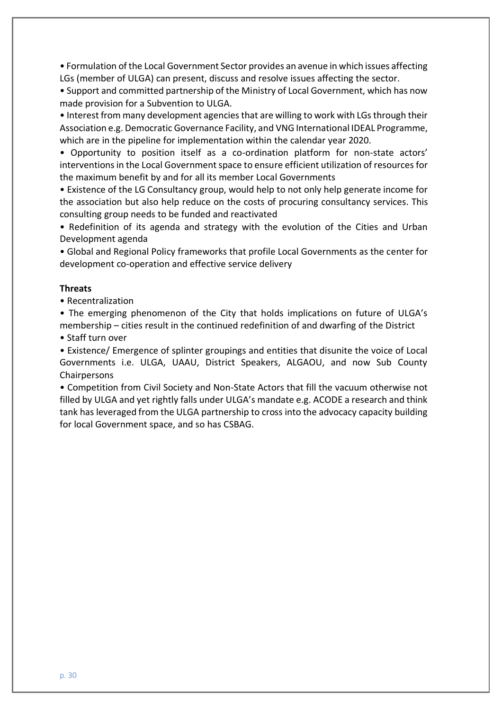• Formulation of the Local Government Sector provides an avenue in which issues affecting LGs (member of ULGA) can present, discuss and resolve issues affecting the sector.

• Support and committed partnership of the Ministry of Local Government, which has now made provision for a Subvention to ULGA.

• Interest from many development agencies that are willing to work with LGs through their Association e.g. Democratic Governance Facility, and VNG International IDEAL Programme, which are in the pipeline for implementation within the calendar year 2020.

• Opportunity to position itself as a co-ordination platform for non-state actors' interventions in the Local Government space to ensure efficient utilization of resources for the maximum benefit by and for all its member Local Governments

• Existence of the LG Consultancy group, would help to not only help generate income for the association but also help reduce on the costs of procuring consultancy services. This consulting group needs to be funded and reactivated

• Redefinition of its agenda and strategy with the evolution of the Cities and Urban Development agenda

• Global and Regional Policy frameworks that profile Local Governments as the center for development co-operation and effective service delivery

#### **Threats**

• Recentralization

• The emerging phenomenon of the City that holds implications on future of ULGA's membership – cities result in the continued redefinition of and dwarfing of the District

• Staff turn over

• Existence/ Emergence of splinter groupings and entities that disunite the voice of Local Governments i.e. ULGA, UAAU, District Speakers, ALGAOU, and now Sub County Chairpersons

• Competition from Civil Society and Non-State Actors that fill the vacuum otherwise not filled by ULGA and yet rightly falls under ULGA's mandate e.g. ACODE a research and think tank has leveraged from the ULGA partnership to cross into the advocacy capacity building for local Government space, and so has CSBAG.